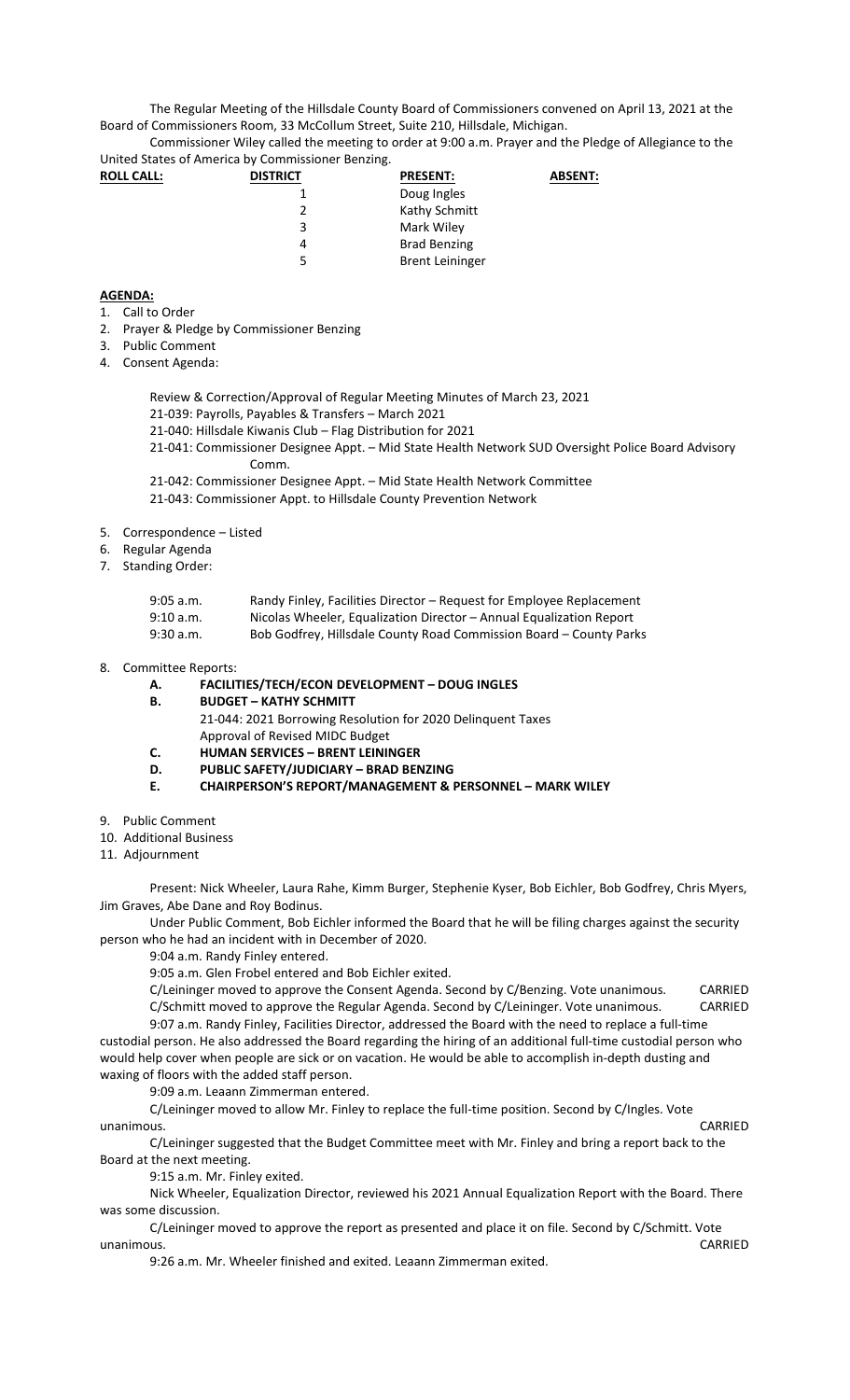The Regular Meeting of the Hillsdale County Board of Commissioners convened on April 13, 2021 at the Board of Commissioners Room, 33 McCollum Street, Suite 210, Hillsdale, Michigan.

Commissioner Wiley called the meeting to order at 9:00 a.m. Prayer and the Pledge of Allegiance to the United States of America by Commissioner Benzing.

| <b>ROLL CALL:</b> | <b>DISTRICT</b> | <b>PRESENT:</b>        | <b>ABSENT:</b> |
|-------------------|-----------------|------------------------|----------------|
|                   |                 | Doug Ingles            |                |
|                   |                 | Kathy Schmitt          |                |
|                   | 3               | Mark Wiley             |                |
|                   | 4               | <b>Brad Benzing</b>    |                |
|                   | 5               | <b>Brent Leininger</b> |                |

## **AGENDA:**

- 1. Call to Order
- 2. Prayer & Pledge by Commissioner Benzing
- 3. Public Comment
- 4. Consent Agenda:
	- Review & Correction/Approval of Regular Meeting Minutes of March 23, 2021
	- 21-039: Payrolls, Payables & Transfers March 2021
	- 21-040: Hillsdale Kiwanis Club Flag Distribution for 2021
	- 21-041: Commissioner Designee Appt. Mid State Health Network SUD Oversight Police Board Advisory Comm.
	- 21-042: Commissioner Designee Appt. Mid State Health Network Committee
	- 21-043: Commissioner Appt. to Hillsdale County Prevention Network
- 5. Correspondence Listed
- 6. Regular Agenda
- 7. Standing Order:

| $9:05$ a.m. | Randy Finley, Facilities Director - Request for Employee Replacement |
|-------------|----------------------------------------------------------------------|
| 9:10 a.m.   | Nicolas Wheeler, Equalization Director - Annual Equalization Report  |
| 9:30 a.m.   | Bob Godfrey, Hillsdale County Road Commission Board – County Parks   |

8. Committee Reports:

## **A. FACILITIES/TECH/ECON DEVELOPMENT – DOUG INGLES**

- **B. BUDGET KATHY SCHMITT**  21-044: 2021 Borrowing Resolution for 2020 Delinquent Taxes Approval of Revised MIDC Budget
- **C. HUMAN SERVICES BRENT LEININGER**
- **D. PUBLIC SAFETY/JUDICIARY BRAD BENZING**
- **E. CHAIRPERSON'S REPORT/MANAGEMENT & PERSONNEL MARK WILEY**
- 9. Public Comment
- 10. Additional Business
- 11. Adjournment

Present: Nick Wheeler, Laura Rahe, Kimm Burger, Stephenie Kyser, Bob Eichler, Bob Godfrey, Chris Myers, Jim Graves, Abe Dane and Roy Bodinus.

Under Public Comment, Bob Eichler informed the Board that he will be filing charges against the security person who he had an incident with in December of 2020.

9:04 a.m. Randy Finley entered.

9:05 a.m. Glen Frobel entered and Bob Eichler exited.

C/Leininger moved to approve the Consent Agenda. Second by C/Benzing. Vote unanimous. CARRIED C/Schmitt moved to approve the Regular Agenda. Second by C/Leininger. Vote unanimous. CARRIED

9:07 a.m. Randy Finley, Facilities Director, addressed the Board with the need to replace a full-time custodial person. He also addressed the Board regarding the hiring of an additional full-time custodial person who would help cover when people are sick or on vacation. He would be able to accomplish in-depth dusting and waxing of floors with the added staff person.

9:09 a.m. Leaann Zimmerman entered.

C/Leininger moved to allow Mr. Finley to replace the full-time position. Second by C/Ingles. Vote unanimous. CARRIED

C/Leininger suggested that the Budget Committee meet with Mr. Finley and bring a report back to the Board at the next meeting.

9:15 a.m. Mr. Finley exited.

Nick Wheeler, Equalization Director, reviewed his 2021 Annual Equalization Report with the Board. There was some discussion.

C/Leininger moved to approve the report as presented and place it on file. Second by C/Schmitt. Vote unanimous. CARRIED

9:26 a.m. Mr. Wheeler finished and exited. Leaann Zimmerman exited.